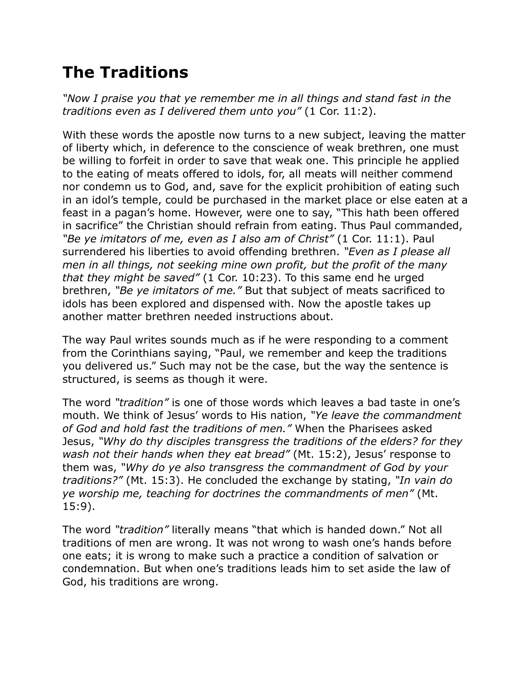## **The Traditions**

*"Now I praise you that ye remember me in all things and stand fast in the traditions even as I delivered them unto you"* (1 Cor. 11:2).

With these words the apostle now turns to a new subject, leaving the matter of liberty which, in deference to the conscience of weak brethren, one must be willing to forfeit in order to save that weak one. This principle he applied to the eating of meats offered to idols, for, all meats will neither commend nor condemn us to God, and, save for the explicit prohibition of eating such in an idol's temple, could be purchased in the market place or else eaten at a feast in a pagan's home. However, were one to say, "This hath been offered in sacrifice" the Christian should refrain from eating. Thus Paul commanded, *"Be ye imitators of me, even as I also am of Christ"* (1 Cor. 11:1). Paul surrendered his liberties to avoid offending brethren. *"Even as I please all men in all things, not seeking mine own profit, but the profit of the many that they might be saved"* (1 Cor. 10:23). To this same end he urged brethren, *"Be ye imitators of me."* But that subject of meats sacrificed to idols has been explored and dispensed with. Now the apostle takes up another matter brethren needed instructions about.

The way Paul writes sounds much as if he were responding to a comment from the Corinthians saying, "Paul, we remember and keep the traditions you delivered us." Such may not be the case, but the way the sentence is structured, is seems as though it were.

The word *"tradition"* is one of those words which leaves a bad taste in one's mouth. We think of Jesus' words to His nation, *"Ye leave the commandment of God and hold fast the traditions of men."* When the Pharisees asked Jesus, *"Why do thy disciples transgress the traditions of the elders? for they wash not their hands when they eat bread"* (Mt. 15:2), Jesus' response to them was, *"Why do ye also transgress the commandment of God by your traditions?"* (Mt. 15:3). He concluded the exchange by stating, *"In vain do ye worship me, teaching for doctrines the commandments of men"* (Mt. 15:9).

The word *"tradition"* literally means "that which is handed down." Not all traditions of men are wrong. It was not wrong to wash one's hands before one eats; it is wrong to make such a practice a condition of salvation or condemnation. But when one's traditions leads him to set aside the law of God, his traditions are wrong.